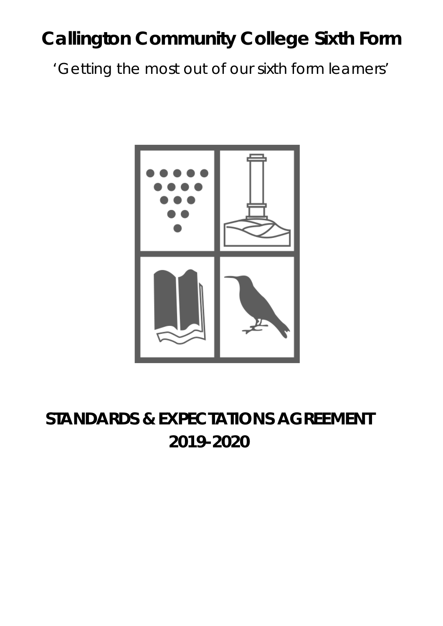# **Callington Community College Sixth Form**

*'Getting the most out of our sixth form learners'*



## **STANDARDS & EXPECTATIONS AGREEMENT 2019-2020**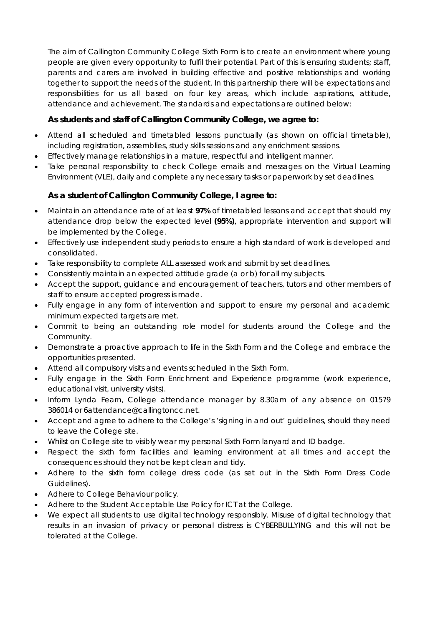The aim of Callington Community College Sixth Form is to create an environment where young people are given every opportunity to fulfil their potential. Part of this is ensuring students; staff, parents and carers are involved in building effective and positive relationships and working together to support the needs of the student. In this partnership there will be expectations and responsibilities for us all based on four key areas, which include aspirations, attitude, attendance and achievement. The standards and expectations are outlined below:

### **As students and staff of Callington Community College, we agree to:**

- Attend all scheduled and timetabled lessons punctually (as shown on official timetable), including registration, assemblies, study skills sessions and any enrichment sessions.
- Effectively manage relationships in a mature, respectful and intelligent manner.
- Take personal responsibility to check College emails and messages on the Virtual Learning Environment (VLE), daily and complete any necessary tasks or paperwork by set deadlines.

#### **As a student of Callington Community College, I agree to:**

- Maintain an attendance rate of at least **97%** of timetabled lessons and accept that should my attendance drop below the expected level **(95%)**, appropriate intervention and support will be implemented by the College.
- Effectively use independent study periods to ensure a high standard of work is developed and consolidated.
- Take responsibility to complete ALL assessed work and submit by set deadlines.
- Consistently maintain an expected attitude grade (a or b) for all my subjects.
- Accept the support, guidance and encouragement of teachers, tutors and other members of staff to ensure accepted progress is made.
- Fully engage in any form of intervention and support to ensure my personal and academic minimum expected targets are met.
- Commit to being an outstanding role model for students around the College and the Community.
- Demonstrate a proactive approach to life in the Sixth Form and the College and embrace the opportunities presented.
- Attend all compulsory visits and events scheduled in the Sixth Form.
- Fully engage in the Sixth Form Enrichment and Experience programme (work experience, educational visit, university visits).
- Inform Lynda Fearn, College attendance manager by 8.30am of any absence on 01579 386014 or 6attendance@callingtoncc.net.
- Accept and agree to adhere to the College's 'signing in and out' guidelines, should they need to leave the College site.
- Whilst on College site to visibly wear my personal Sixth Form lanyard and ID badge.
- Respect the sixth form facilities and learning environment at all times and accept the consequences should they not be kept clean and tidy.
- Adhere to the sixth form college dress code (as set out in the Sixth Form Dress Code Guidelines).
- Adhere to College Behaviour policy.
- Adhere to the Student Acceptable Use Policy for ICT at the College.
- We expect all students to use digital technology responsibly. Misuse of digital technology that results in an invasion of privacy or personal distress is CYBERBULLYING and this will not be tolerated at the College.